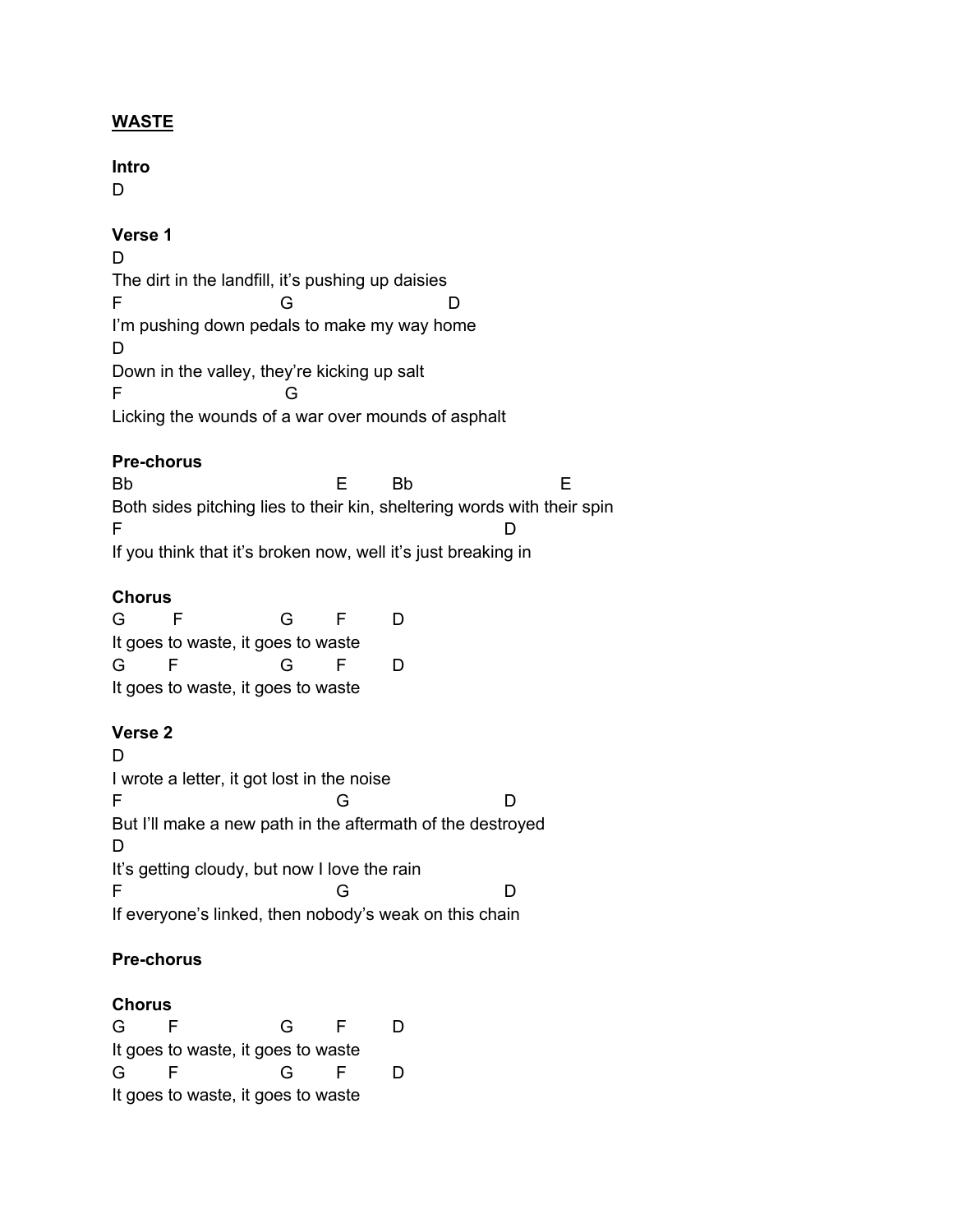# **WASTE**

# **Intro**

D

# **Verse 1**

D The dirt in the landfill, it's pushing up daisies F G D I'm pushing down pedals to make my way home D Down in the valley, they're kicking up salt F G Licking the wounds of a war over mounds of asphalt

### **Pre-chorus**

Bb E Bb E E Both sides pitching lies to their kin, sheltering words with their spin F D If you think that it's broken now, well it's just breaking in

### **Chorus**

| G                                  |  | G |    | D |  |
|------------------------------------|--|---|----|---|--|
| It goes to waste, it goes to waste |  |   |    |   |  |
| G                                  |  | G | н. | D |  |
| It goes to waste, it goes to waste |  |   |    |   |  |

# **Verse 2**

D I wrote a letter, it got lost in the noise F G D But I'll make a new path in the aftermath of the destroyed D It's getting cloudy, but now I love the rain F G D If everyone's linked, then nobody's weak on this chain

# **Pre-chorus**

### **Chorus**

| G                                  |  | G            | E  | D |  |
|------------------------------------|--|--------------|----|---|--|
| It goes to waste, it goes to waste |  |              |    |   |  |
| G                                  |  | $\mathsf{G}$ | E. | D |  |
| It goes to waste, it goes to waste |  |              |    |   |  |